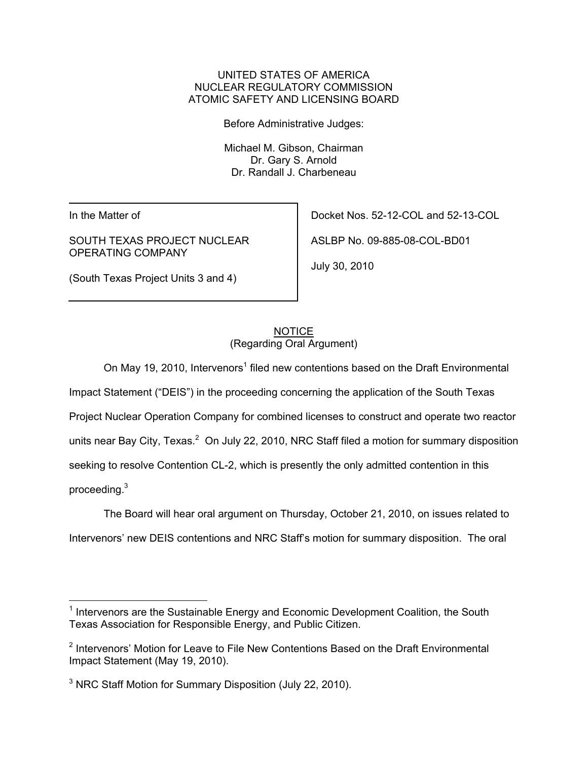### UNITED STATES OF AMERICA NUCLEAR REGULATORY COMMISSION ATOMIC SAFETY AND LICENSING BOARD

Before Administrative Judges:

 Michael M. Gibson, Chairman Dr. Gary S. Arnold Dr. Randall J. Charbeneau

In the Matter of

SOUTH TEXAS PROJECT NUCLEAR OPERATING COMPANY

(South Texas Project Units 3 and 4)

Docket Nos. 52-12-COL and 52-13-COL

ASLBP No. 09-885-08-COL-BD01

July 30, 2010

#### **NOTICE** (Regarding Oral Argument)

On May 19, 2010, Intervenors<sup>1</sup> filed new contentions based on the Draft Environmental Impact Statement ("DEIS") in the proceeding concerning the application of the South Texas Project Nuclear Operation Company for combined licenses to construct and operate two reactor units near Bay City, Texas. $^2$  On July 22, 2010, NRC Staff filed a motion for summary disposition seeking to resolve Contention CL-2, which is presently the only admitted contention in this

proceeding.3

 $\overline{a}$ 

The Board will hear oral argument on Thursday, October 21, 2010, on issues related to Intervenors' new DEIS contentions and NRC Staff's motion for summary disposition. The oral

<sup>&</sup>lt;sup>1</sup> Intervenors are the Sustainable Energy and Economic Development Coalition, the South Texas Association for Responsible Energy, and Public Citizen.

<sup>&</sup>lt;sup>2</sup> Intervenors' Motion for Leave to File New Contentions Based on the Draft Environmental Impact Statement (May 19, 2010).

<sup>&</sup>lt;sup>3</sup> NRC Staff Motion for Summary Disposition (July 22, 2010).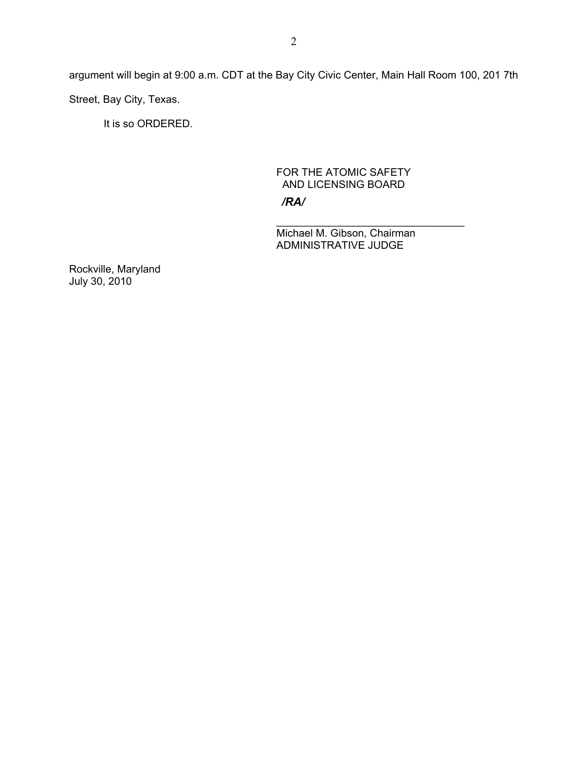argument will begin at 9:00 a.m. CDT at the Bay City Civic Center, Main Hall Room 100, 201 7th Street, Bay City, Texas.

It is so ORDERED.

# FOR THE ATOMIC SAFETY AND LICENSING BOARD

*/RA/*

\_\_\_\_\_\_\_\_\_\_\_\_\_\_\_\_\_\_\_\_\_\_\_\_\_\_\_\_\_\_\_\_ Michael M. Gibson, Chairman ADMINISTRATIVE JUDGE

Rockville, Maryland July 30, 2010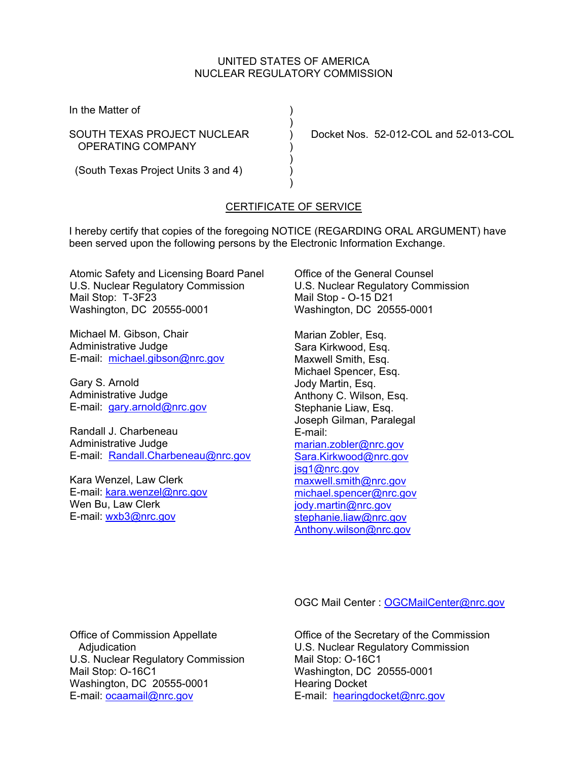### UNITED STATES OF AMERICA NUCLEAR REGULATORY COMMISSION

In the Matter of (1)

OPERATING COMPANY )

 $)$ 

 $)$ 

SOUTH TEXAS PROJECT NUCLEAR ) Docket Nos. 52-012-COL and 52-013-COL

 $)$ (South Texas Project Units 3 and 4) )

# CERTIFICATE OF SERVICE

I hereby certify that copies of the foregoing NOTICE (REGARDING ORAL ARGUMENT) have been served upon the following persons by the Electronic Information Exchange.

Atomic Safety and Licensing Board Panel U.S. Nuclear Regulatory Commission Mail Stop: T-3F23 Washington, DC 20555-0001

Michael M. Gibson, Chair Administrative Judge E-mail: michael.gibson@nrc.gov

Gary S. Arnold Administrative Judge E-mail: gary.arnold@nrc.gov

Randall J. Charbeneau Administrative Judge E-mail: Randall.Charbeneau@nrc.gov

Kara Wenzel, Law Clerk E-mail: kara.wenzel@nrc.gov Wen Bu, Law Clerk E-mail: wxb3@nrc.gov

Office of the General Counsel U.S. Nuclear Regulatory Commission Mail Stop - O-15 D21 Washington, DC 20555-0001

Marian Zobler, Esq. Sara Kirkwood, Esq. Maxwell Smith, Esq. Michael Spencer, Esq. Jody Martin, Esq. Anthony C. Wilson, Esq. Stephanie Liaw, Esq. Joseph Gilman, Paralegal E-mail: marian.zobler@nrc.gov Sara.Kirkwood@nrc.gov jsg1@nrc.gov maxwell.smith@nrc.gov michael.spencer@nrc.gov jody.martin@nrc.gov stephanie.liaw@nrc.gov Anthony.wilson@nrc.gov

OGC Mail Center : OGCMailCenter@nrc.gov

Office of Commission Appellate Adjudication U.S. Nuclear Regulatory Commission Mail Stop: O-16C1 Washington, DC 20555-0001 E-mail: ocaamail@nrc.gov

Office of the Secretary of the Commission U.S. Nuclear Regulatory Commission Mail Stop: O-16C1 Washington, DC 20555-0001 Hearing Docket E-mail: hearingdocket@nrc.gov